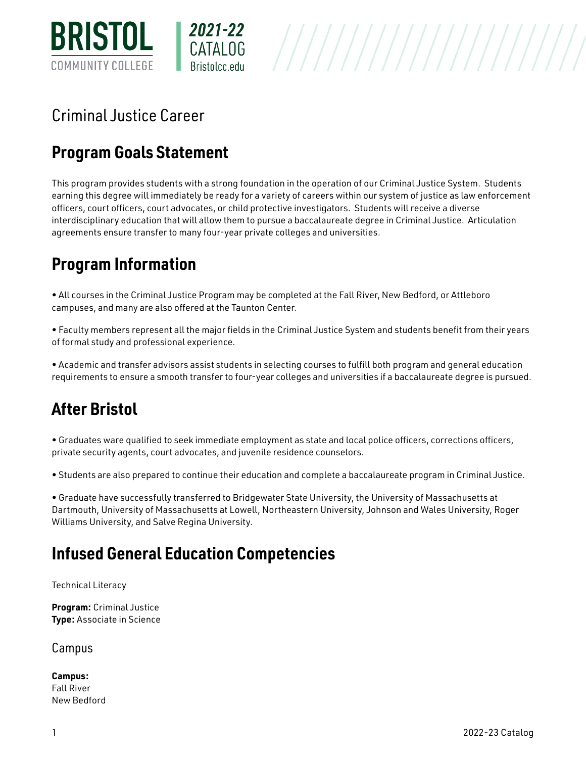

# Criminal Justice Career

# **Program Goals Statement**

This program provides students with a strong foundation in the operation of our Criminal Justice System. Students earning this degree will immediately be ready for a variety of careers within our system of justice as law enforcement officers, court officers, court advocates, or child protective investigators. Students will receive a diverse interdisciplinary education that will allow them to pursue a baccalaureate degree in Criminal Justice. Articulation agreements ensure transfer to many four-year private colleges and universities.

# **Program Information**

• All courses in the Criminal Justice Program may be completed at the Fall River, New Bedford, or Attleboro campuses, and many are also offered at the Taunton Center.

• Faculty members represent all the major fields in the Criminal Justice System and students benefit from their years of formal study and professional experience.

• Academic and transfer advisors assist students in selecting courses to fulfill both program and general education requirements to ensure a smooth transfer to four-year colleges and universities if a baccalaureate degree is pursued.

## **After Bristol**

• Graduates ware qualified to seek immediate employment as state and local police officers, corrections officers, private security agents, court advocates, and juvenile residence counselors.

• Students are also prepared to continue their education and complete a baccalaureate program in Criminal Justice.

• Graduate have successfully transferred to Bridgewater State University, the University of Massachusetts at Dartmouth, University of Massachusetts at Lowell, Northeastern University, Johnson and Wales University, Roger Williams University, and Salve Regina University.

### **Infused General Education Competencies**

Technical Literacy

**Program:** [Criminal Justice](http://live-bristol-catalog.pantheonsite.io/criminal-justice) **Type:** Associate in Science

Campus

**Campus:**  [Fall River](http://live-bristol-catalog.pantheonsite.io/taxonomy/term/1709)  [New Bedford](http://live-bristol-catalog.pantheonsite.io/taxonomy/term/1707)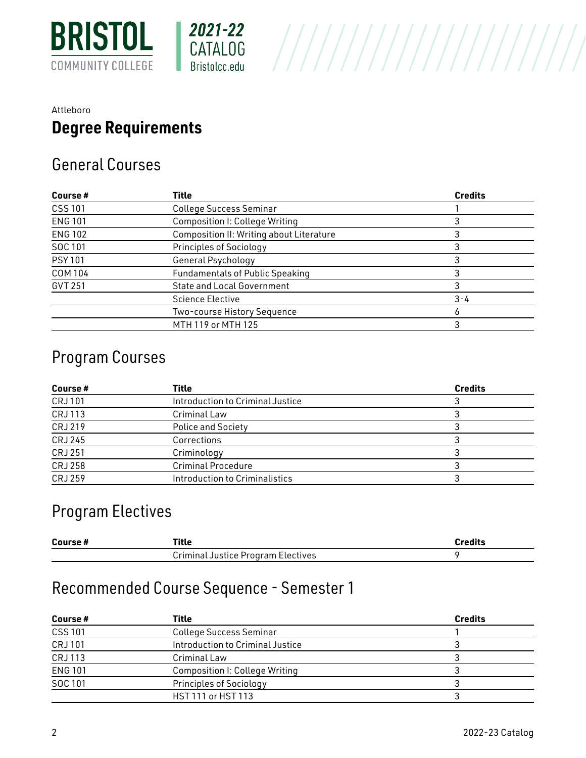

#### [Attleboro](http://live-bristol-catalog.pantheonsite.io/taxonomy/term/1706)  **Degree Requirements**

#### General Courses

| Course#        | Title                                    | <b>Credits</b> |
|----------------|------------------------------------------|----------------|
| <b>CSS 101</b> | <b>College Success Seminar</b>           |                |
| <b>ENG 101</b> | <b>Composition I: College Writing</b>    |                |
| <b>ENG 102</b> | Composition II: Writing about Literature |                |
| SOC 101        | <b>Principles of Sociology</b>           |                |
| <b>PSY 101</b> | General Psychology                       |                |
| <b>COM 104</b> | <b>Fundamentals of Public Speaking</b>   |                |
| GVT 251        | <b>State and Local Government</b>        |                |
|                | <b>Science Elective</b>                  | $3 - 4$        |
|                | Two-course History Sequence              |                |
|                | MTH 119 or MTH 125                       |                |

#### Program Courses

| Course #       | Title                            | <b>Credits</b> |
|----------------|----------------------------------|----------------|
| <b>CRJ101</b>  | Introduction to Criminal Justice |                |
| <b>CRJ113</b>  | Criminal Law                     |                |
| CRJ 219        | <b>Police and Society</b>        |                |
| CRJ 245        | Corrections                      |                |
| <b>CRJ 251</b> | Criminology                      |                |
| <b>CRJ 258</b> | <b>Criminal Procedure</b>        |                |
| <b>CRJ 259</b> | Introduction to Criminalistics   |                |

#### Program Electives

| Course# | 'itle                              | <b>Prodite</b> |
|---------|------------------------------------|----------------|
|         | Criminal Justice Program Electives |                |

## Recommended Course Sequence - Semester 1

| Course#        | Title                                 | <b>Credits</b> |
|----------------|---------------------------------------|----------------|
| <b>CSS 101</b> | <b>College Success Seminar</b>        |                |
| <b>CRJ101</b>  | Introduction to Criminal Justice      |                |
| <b>CRJ113</b>  | Criminal Law                          |                |
| <b>ENG 101</b> | <b>Composition I: College Writing</b> |                |
| SOC 101        | <b>Principles of Sociology</b>        |                |
|                | HST 111 or HST 113                    |                |